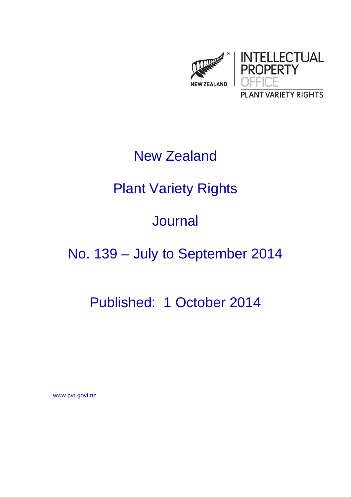

### New Zealand

## Plant Variety Rights

### Journal

# No. 139 – July to September 2014

## Published: 1 October 2014

www.pvr.govt.nz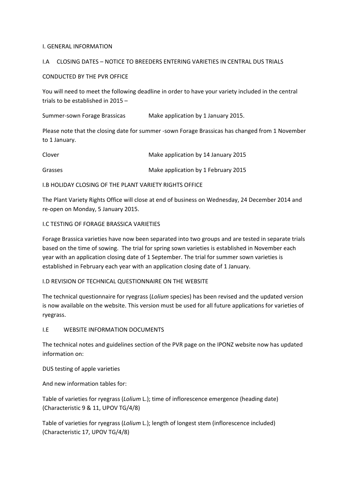#### I. GENERAL INFORMATION

#### I.A CLOSING DATES – NOTICE TO BREEDERS ENTERING VARIETIES IN CENTRAL DUS TRIALS

#### CONDUCTED BY THE PVR OFFICE

You will need to meet the following deadline in order to have your variety included in the central trials to be established in 2015 –

Summer-sown Forage Brassicas Make application by 1 January 2015.

Please note that the closing date for summer ‐sown Forage Brassicas has changed from 1 November to 1 January.

| Clover  | Make application by 14 January 2015 |
|---------|-------------------------------------|
| Grasses | Make application by 1 February 2015 |

I.B HOLIDAY CLOSING OF THE PLANT VARIETY RIGHTS OFFICE

The Plant Variety Rights Office will close at end of business on Wednesday, 24 December 2014 and re‐open on Monday, 5 January 2015.

#### I.C TESTING OF FORAGE BRASSICA VARIETIES

Forage Brassica varieties have now been separated into two groups and are tested in separate trials based on the time of sowing. The trial for spring sown varieties is established in November each year with an application closing date of 1 September. The trial for summer sown varieties is established in February each year with an application closing date of 1 January.

#### I.D REVISION OF TECHNICAL QUESTIONNAIRE ON THE WEBSITE

The technical questionnaire for ryegrass (*Lolium* species) has been revised and the updated version is now available on the website. This version must be used for all future applications for varieties of ryegrass.

#### I.E WEBSITE INFORMATION DOCUMENTS

The technical notes and guidelines section of the PVR page on the IPONZ website now has updated information on:

DUS testing of apple varieties

And new information tables for:

Table of varieties for ryegrass (*Lolium* L.); time of inflorescence emergence (heading date) (Characteristic 9 & 11, UPOV TG/4/8)

Table of varieties for ryegrass (*Lolium* L.); length of longest stem (inflorescence included) (Characteristic 17, UPOV TG/4/8)